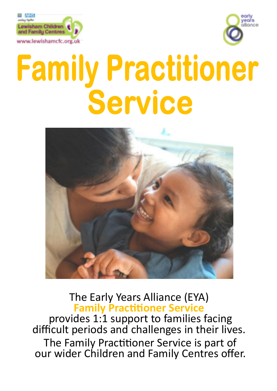



# Family Practitioner Service



# The Early Years Alliance (EYA) **Family Practitioner Service**

provides 1:1 support to families facing difficult periods and challenges in their lives. The Family Practitioner Service is part of our wider Children and Family Centres offer.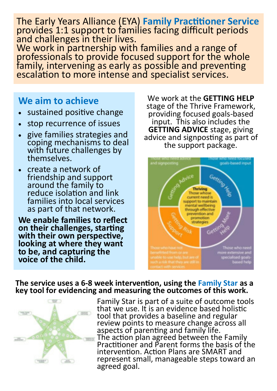The Early Years Alliance (EYA) **Family Practitioner Service** provides 1:1 support to families facing difficult periods and challenges in their lives.

We work in partnership with families and a range of professionals to provide focused support for the whole family, intervening as early as possible and preventing escalation to more intense and specialist services.

## **We aim to achieve**

- sustained positive change
- stop recurrence of issues
- give families strategies and coping mechanisms to deal with future challenges by themselves.
- create a network of friendship and support around the family to reduce isolation and link families into local services as part of that network.

**We enable families to reflect on their challenges, starting with their own perspective, looking at where they want to be, and capturing the voice of the child.**

We work at the **GETTING HELP** stage of the Thrive Framework, providing focused goals-based input. This also includes the **GETTING ADVICE** stage, giving advice and signposting as part of the support package.



## **The service uses a 6-8 week intervention, using the Family Star as a key tool for evidencing and measuring the outcomes of this work.**



Family Star is part of a suite of outcome tools that we use. It is an evidence based holistic tool that provides a baseline and regular review points to measure change across all aspects of parenting and family life. The action plan agreed between the Family Practitioner and Parent forms the basis of the intervention. Action Plans are SMART and represent small, manageable steps toward an agreed goal.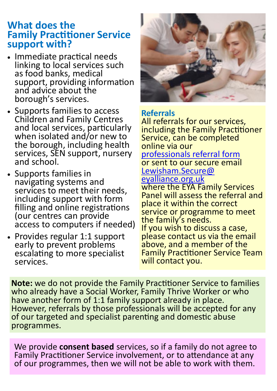## **What does the Family Practitioner Service support with?**

- Immediate practical needs linking to local services such as food banks, medical support, providing information and advice about the borough's services.
- Supports families to access Children and Family Centres and local services, particularly when isolated and/or new to the borough, including health services, SEN support, nursery and school.
- Supports families in navigating systems and services to meet their needs, including support with form filling and online registrations (our centres can provide access to computers if needed)
- Provides regular 1:1 support early to prevent problems escalating to more specialist services.



## **Referrals**

All referrals for our services, including the Family Practitioner Service, can be completed online via our [professionals referral form](https://www.lewishamcfc.org.uk/professionals-referral-form/) or sent to our secure email [Lewisham.Secure@](mailto:Lewisham.Secure@eyalliance.org.uk) [eyalliance.org.uk](mailto:Lewisham.Secure@eyalliance.org.uk) where the EYA Family Services Panel will assess the referral and place it within the correct service or programme to meet the family's needs. If you wish to discuss a case, please contact us via the email above, and a member of the Family Practitioner Service Team will contact you.

**Note:** we do not provide the Family Practitioner Service to families who already have a Social Worker, Family Thrive Worker or who have another form of 1:1 family support already in place. However, referrals by those professionals will be accepted for any of our targeted and specialist parenting and domestic abuse programmes.

We provide **consent based** services, so if a family do not agree to Family Practitioner Service involvement, or to attendance at any of our programmes, then we will not be able to work with them.